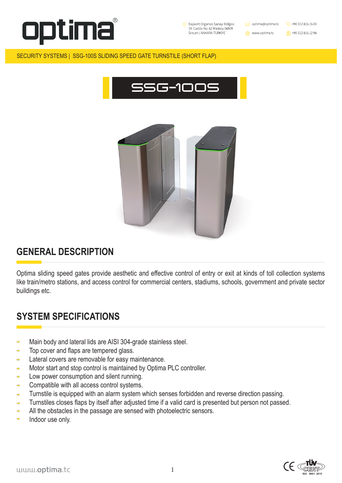



1





#### SECURITY SYSTEMS | SSG-100S SLIDING SPEED GATE TURNSTILE (SHORT FLAP)

# **GENERAL DESCRIPTION**

- Main body and lateral lids are AISI 304-grade stainless steel.  $\Rightarrow$
- Top cover and flaps are tempered glass.  $\Rightarrow$
- Lateral covers are removable for easy maintenance.  $\Rightarrow$
- Motor start and stop control is maintained by Optima PLC controller.  $\Rightarrow$
- Low power consumption and silent running.  $\Rightarrow$
- Compatible with all access control systems.  $\Rightarrow$
- Turnstile is equipped with an alarm system which senses forbidden and reverse direction passing.  $\Rightarrow$
- Turnstiles closes flaps by itself after adjusted time if a valid card is presented but person not passed.  $\Rightarrow$

Optima sliding speed gates provide aesthetic and effective control of entry or exit at kinds of toll collection systems like train/metro stations, and access control for commercial centers, stadiums, schools, government and private sector buildings etc.

# **SYSTEM SPECIFICATIONS**

- All the obstacles in the passage are sensed with photoelectric sensors.  $\Rightarrow$
- Indoor use only.  $\Rightarrow$